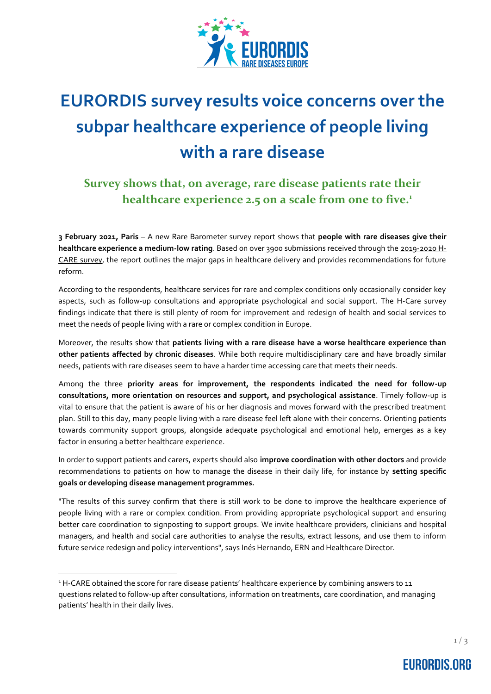

# **EURORDIS survey results voice concerns over the subpar healthcare experience of people living with a rare disease**

## **Survey shows that, on average, rare disease patients rate their healthcare experience 2.5 on a scale from one to five.<sup>1</sup>**

**3 February 2021, Paris** – A new Rare Barometer survey report shows that **people with rare diseases give their healthcare experience a medium-low rating**. Based on over 3900 submissions received through th[e 2019-2020](https://www.eurordis.org/guidelines_hcaresurvey) H-[CARE survey,](https://www.eurordis.org/guidelines_hcaresurvey) the report outlines the major gaps in healthcare delivery and provides recommendations for future reform.

According to the respondents, healthcare services for rare and complex conditions only occasionally consider key aspects, such as follow-up consultations and appropriate psychological and social support. The H-Care survey findings indicate that there is still plenty of room for improvement and redesign of health and social services to meet the needs of people living with a rare or complex condition in Europe.

Moreover, the results show that **patients living with a rare disease have a worse healthcare experience than other patients affected by chronic diseases**. While both require multidisciplinary care and have broadly similar needs, patients with rare diseases seem to have a harder time accessing care that meets their needs.

Among the three **priority areas for improvement, the respondents indicated the need for follow-up consultations, more orientation on resources and support, and psychological assistance**. Timely follow-up is vital to ensure that the patient is aware of his or her diagnosis and moves forward with the prescribed treatment plan. Still to this day, many people living with a rare disease feel left alone with their concerns. Orienting patients towards community support groups, alongside adequate psychological and emotional help, emerges as a key factor in ensuring a better healthcare experience.

In order to support patients and carers, experts should also **improve coordination with other doctors** and provide recommendations to patients on how to manage the disease in their daily life, for instance by **setting specific goals or developing disease management programmes.**

"The results of this survey confirm that there is still work to be done to improve the healthcare experience of people living with a rare or complex condition. From providing appropriate psychological support and ensuring better care coordination to signposting to support groups. We invite healthcare providers, clinicians and hospital managers, and health and social care authorities to analyse the results, extract lessons, and use them to inform future service redesign and policy interventions", says Inés Hernando, ERN and Healthcare Director.

 $\overline{a}$ 

<sup>&</sup>lt;sup>1</sup> H-CARE obtained the score for rare disease patients' healthcare experience by combining answers to 11 questions related to follow-up after consultations, information on treatments, care coordination, and managing patients' health in their daily lives.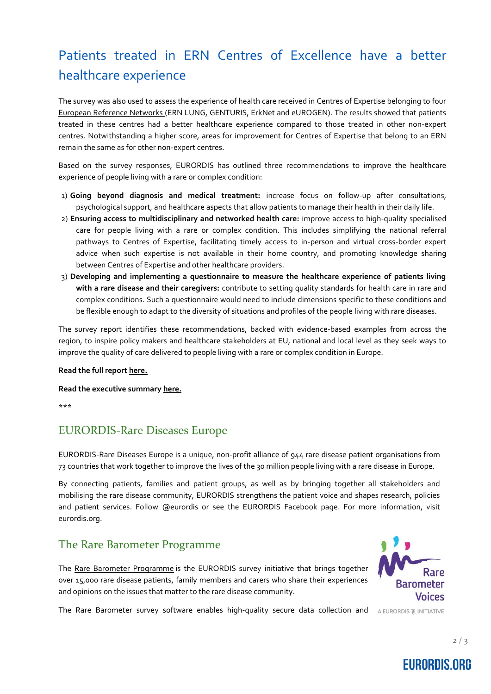# Patients treated in ERN Centres of Excellence have a better healthcare experience

The survey was also used to assess the experience of health care received in Centres of Expertise belonging to four [European Reference Networks](https://ec.europa.eu/health/ern_en#:~:text=European%20Reference%20Networks%20(ERNs)%20are,and%20concentrated%20knowledge%20and%20resources.) (ERN LUNG, GENTURIS, ErkNet and eUROGEN). The results showed that patients treated in these centres had a better healthcare experience compared to those treated in other non-expert centres. Notwithstanding a higher score, areas for improvement for Centres of Expertise that belong to an ERN remain the same as for other non-expert centres.

Based on the survey responses, EURORDIS has outlined three recommendations to improve the healthcare experience of people living with a rare or complex condition:

- 1) **Going beyond diagnosis and medical treatment:** increase focus on follow-up after consultations, psychological support, and healthcare aspects that allow patients to manage their health in their daily life.
- 2) **Ensuring access to multidisciplinary and networked health care:** improve access to high-quality specialised care for people living with a rare or complex condition. This includes simplifying the national referral pathways to Centres of Expertise, facilitating timely access to in-person and virtual cross-border expert advice when such expertise is not available in their home country, and promoting knowledge sharing between Centres of Expertise and other healthcare providers.
- 3) **Developing and implementing a questionnaire to measure the healthcare experience of patients living with a rare disease and their caregivers:** contribute to setting quality standards for health care in rare and complex conditions. Such a questionnaire would need to include dimensions specific to these conditions and be flexible enough to adapt to the diversity of situations and profiles of the people living with rare diseases.

The survey report identifies these recommendations, backed with evidence-based examples from across the region, to inspire policy makers and healthcare stakeholders at EU, national and local level as they seek ways to improve the quality of care delivered to people living with a rare or complex condition in Europe.

#### **Read the full repor[t here.](https://download2.eurordis.org/rbv/HCARE/HCARE_FS_long.pdf)**

**Read the executive summary [here.](https://download2.eurordis.org/rbv/HCARE/HCARE_FS_condensed_VF.pdf)**

\*\*\*

#### EURORDIS-Rare Diseases Europe

EURORDIS-Rare Diseases Europe is a unique, non-profit alliance of 944 rare disease patient organisations from 73 countries that work together to improve the lives of the 30 million people living with a rare disease in Europe.

By connecting patients, families and patient groups, as well as by bringing together all stakeholders and mobilising the rare disease community, EURORDIS strengthens the patient voice and shapes research, policies and patient services. Follow [@eurordis](https://twitter.com/eurordis) or see the [EURORDIS Facebook page.](https://www.facebook.com/eurordis) For more information, visit [eurordis.org.](http://www.eurordis.org/) 

#### The Rare Barometer Programme

The [Rare Barometer Programme](https://www.eurordis.org/voices) is the EURORDIS survey initiative that brings together over 15,000 rare disease patients, family members and carers who share their experiences and opinions on the issues that matter to the rare disease community.



The Rare Barometer survey software enables high-quality secure data collection and AEURORDIS & INITIATIVE